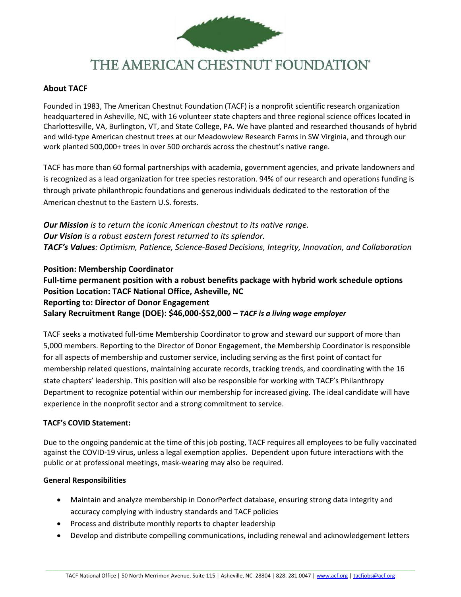

# THE AMERICAN CHESTNUT FOUNDATION®

#### **About TACF**

Founded in 1983, The American Chestnut Foundation (TACF) is a nonprofit scientific research organization headquartered in Asheville, NC, with 16 volunteer state chapters and three regional science offices located in Charlottesville, VA, Burlington, VT, and State College, PA. We have planted and researched thousands of hybrid and wild-type American chestnut trees at our Meadowview Research Farms in SW Virginia, and through our work planted 500,000+ trees in over 500 orchards across the chestnut's native range.

TACF has more than 60 formal partnerships with academia, government agencies, and private landowners and is recognized as a lead organization for tree species restoration. 94% of our research and operations funding is through private philanthropic foundations and generous individuals dedicated to the restoration of the American chestnut to the Eastern U.S. forests.

*Our Mission is to return the iconic American chestnut to its native range. Our Vision is a robust eastern forest returned to its splendor. TACF's Values: Optimism, Patience, Science-Based Decisions, Integrity, Innovation, and Collaboration*

## **Position: Membership Coordinator Full-time permanent position with a robust benefits package with hybrid work schedule options Position Location: TACF National Office, Asheville, NC Reporting to: Director of Donor Engagement Salary Recruitment Range (DOE): \$46,000-\$52,000 –** *TACF is a living wage employer*

TACF seeks a motivated full-time Membership Coordinator to grow and steward our support of more than 5,000 members. Reporting to the Director of Donor Engagement, the Membership Coordinator is responsible for all aspects of membership and customer service, including serving as the first point of contact for membership related questions, maintaining accurate records, tracking trends, and coordinating with the 16 state chapters' leadership. This position will also be responsible for working with TACF's Philanthropy Department to recognize potential within our membership for increased giving. The ideal candidate will have experience in the nonprofit sector and a strong commitment to service.

#### **TACF's COVID Statement:**

Due to the ongoing pandemic at the time of this job posting, TACF requires all employees to be fully vaccinated against the COVID-19 virus**,** unless a legal exemption applies. Dependent upon future interactions with the public or at professional meetings, mask-wearing may also be required.

#### **General Responsibilities**

- Maintain and analyze membership in DonorPerfect database, ensuring strong data integrity and accuracy complying with industry standards and TACF policies
- Process and distribute monthly reports to chapter leadership
- Develop and distribute compelling communications, including renewal and acknowledgement letters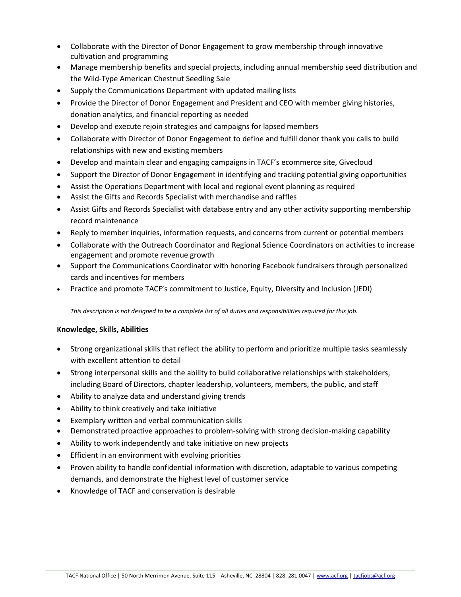- Collaborate with the Director of Donor Engagement to grow membership through innovative cultivation and programming
- Manage membership benefits and special projects, including annual membership seed distribution and the Wild-Type American Chestnut Seedling Sale
- Supply the Communications Department with updated mailing lists
- Provide the Director of Donor Engagement and President and CEO with member giving histories, donation analytics, and financial reporting as needed
- Develop and execute rejoin strategies and campaigns for lapsed members
- Collaborate with Director of Donor Engagement to define and fulfill donor thank you calls to build relationships with new and existing members
- Develop and maintain clear and engaging campaigns in TACF's ecommerce site, Givecloud
- Support the Director of Donor Engagement in identifying and tracking potential giving opportunities
- Assist the Operations Department with local and regional event planning as required
- Assist the Gifts and Records Specialist with merchandise and raffles
- Assist Gifts and Records Specialist with database entry and any other activity supporting membership record maintenance
- Reply to member inquiries, information requests, and concerns from current or potential members
- Collaborate with the Outreach Coordinator and Regional Science Coordinators on activities to increase engagement and promote revenue growth
- Support the Communications Coordinator with honoring Facebook fundraisers through personalized cards and incentives for members
- Practice and promote TACF's commitment to Justice, Equity, Diversity and Inclusion (JEDI)

*This description is not designed to be a complete list of all duties and responsibilities required for this job.*

#### **Knowledge, Skills, Abilities**

- Strong organizational skills that reflect the ability to perform and prioritize multiple tasks seamlessly with excellent attention to detail
- Strong interpersonal skills and the ability to build collaborative relationships with stakeholders, including Board of Directors, chapter leadership, volunteers, members, the public, and staff
- Ability to analyze data and understand giving trends
- Ability to think creatively and take initiative
- Exemplary written and verbal communication skills
- Demonstrated proactive approaches to problem-solving with strong decision-making capability
- Ability to work independently and take initiative on new projects
- Efficient in an environment with evolving priorities
- Proven ability to handle confidential information with discretion, adaptable to various competing demands, and demonstrate the highest level of customer service
- Knowledge of TACF and conservation is desirable